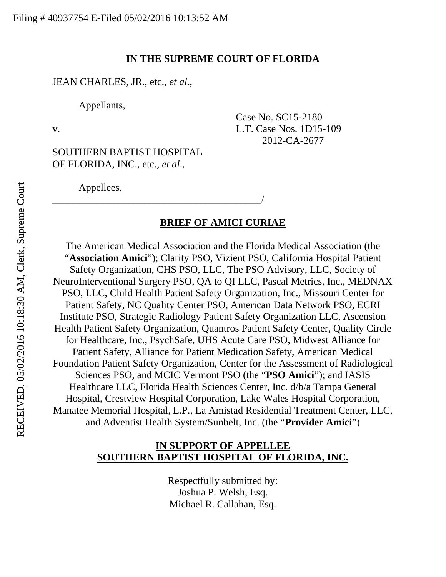#### **IN THE SUPREME COURT OF FLORIDA**

Case No. SC15-2180

2012-CA-2677

JEAN CHARLES, JR., etc., *et al*.,

OF FLORIDA, INC., etc., *et al*.,

Appellants,

v. L.T. Case Nos. 1D15-109

SOUTHERN BAPTIST HOSPITAL

\_\_\_\_\_\_\_\_\_\_\_\_\_\_\_\_\_\_\_\_\_\_\_\_\_\_\_\_\_\_\_\_\_\_\_\_\_\_\_\_\_/

Appellees.

#### **BRIEF OF AMICI CURIAE**

The American Medical Association and the Florida Medical Association (the "**Association Amici**"); Clarity PSO, Vizient PSO, California Hospital Patient Safety Organization, CHS PSO, LLC, The PSO Advisory, LLC, Society of NeuroInterventional Surgery PSO, QA to QI LLC, Pascal Metrics, Inc., MEDNAX PSO, LLC, Child Health Patient Safety Organization, Inc., Missouri Center for Patient Safety, NC Quality Center PSO, American Data Network PSO, ECRI Institute PSO, Strategic Radiology Patient Safety Organization LLC, Ascension Health Patient Safety Organization, Quantros Patient Safety Center, Quality Circle for Healthcare, Inc., PsychSafe, UHS Acute Care PSO, Midwest Alliance for Patient Safety, Alliance for Patient Medication Safety, American Medical Foundation Patient Safety Organization, Center for the Assessment of Radiological Sciences PSO, and MCIC Vermont PSO (the "**PSO Amici**"); and IASIS Healthcare LLC, Florida Health Sciences Center, Inc. d/b/a Tampa General Hospital, Crestview Hospital Corporation, Lake Wales Hospital Corporation, Manatee Memorial Hospital, L.P., La Amistad Residential Treatment Center, LLC, and Adventist Health System/Sunbelt, Inc. (the "**Provider Amici**")

### **IN SUPPORT OF APPELLEE SOUTHERN BAPTIST HOSPITAL OF FLORIDA, INC.**

Respectfully submitted by: Joshua P. Welsh, Esq. Michael R. Callahan, Esq.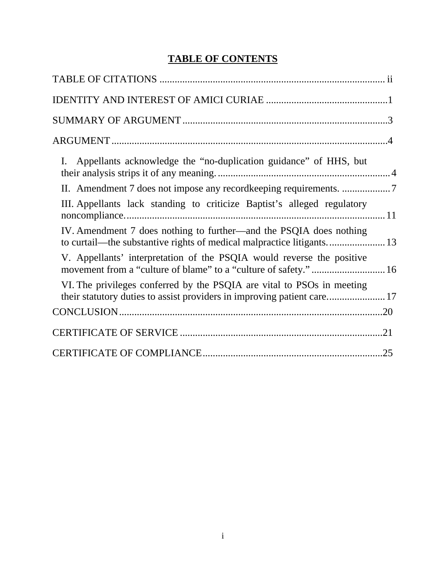# **TABLE OF CONTENTS**

| I. Appellants acknowledge the "no-duplication guidance" of HHS, but     |  |
|-------------------------------------------------------------------------|--|
|                                                                         |  |
| III. Appellants lack standing to criticize Baptist's alleged regulatory |  |
| IV. Amendment 7 does nothing to further—and the PSQIA does nothing      |  |
| V. Appellants' interpretation of the PSQIA would reverse the positive   |  |
| VI. The privileges conferred by the PSQIA are vital to PSOs in meeting  |  |
|                                                                         |  |
|                                                                         |  |
|                                                                         |  |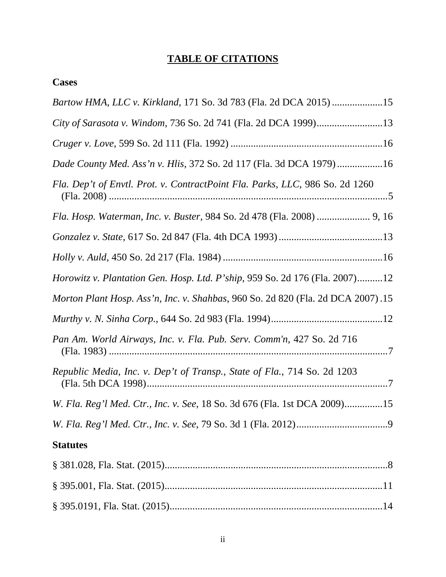# **TABLE OF CITATIONS**

# **Cases**

| Bartow HMA, LLC v. Kirkland, 171 So. 3d 783 (Fla. 2d DCA 2015) 15                  |
|------------------------------------------------------------------------------------|
| City of Sarasota v. Windom, 736 So. 2d 741 (Fla. 2d DCA 1999)13                    |
|                                                                                    |
| Dade County Med. Ass'n v. Hlis, 372 So. 2d 117 (Fla. 3d DCA 1979)16                |
| Fla. Dep't of Envtl. Prot. v. ContractPoint Fla. Parks, LLC, 986 So. 2d 1260       |
|                                                                                    |
|                                                                                    |
|                                                                                    |
| <i>Horowitz v. Plantation Gen. Hosp. Ltd. P'ship, 959 So. 2d 176 (Fla. 2007)12</i> |
| Morton Plant Hosp. Ass'n, Inc. v. Shahbas, 960 So. 2d 820 (Fla. 2d DCA 2007).15    |
|                                                                                    |
| Pan Am. World Airways, Inc. v. Fla. Pub. Serv. Comm'n, 427 So. 2d 716              |
| Republic Media, Inc. v. Dep't of Transp., State of Fla., 714 So. 2d 1203           |
| W. Fla. Reg'l Med. Ctr., Inc. v. See, 18 So. 3d 676 (Fla. 1st DCA 2009)15          |
|                                                                                    |
| <b>Statutes</b>                                                                    |
|                                                                                    |
|                                                                                    |
|                                                                                    |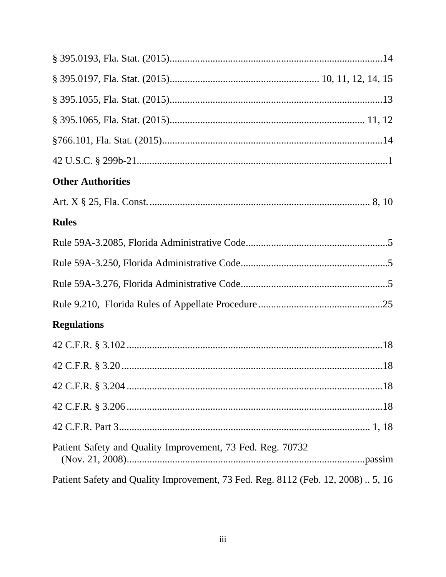| <b>Other Authorities</b>                                                         |
|----------------------------------------------------------------------------------|
|                                                                                  |
| <b>Rules</b>                                                                     |
|                                                                                  |
|                                                                                  |
|                                                                                  |
|                                                                                  |
| <b>Regulations</b>                                                               |
|                                                                                  |
|                                                                                  |
|                                                                                  |
|                                                                                  |
|                                                                                  |
| Patient Safety and Quality Improvement, 73 Fed. Reg. 70732                       |
| Patient Safety and Quality Improvement, 73 Fed. Reg. 8112 (Feb. 12, 2008)  5, 16 |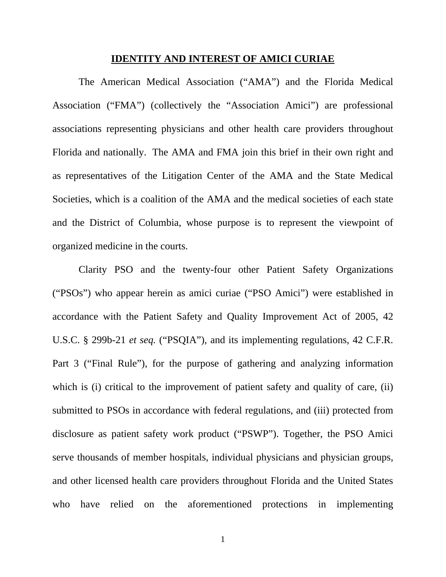#### **IDENTITY AND INTEREST OF AMICI CURIAE**

The American Medical Association ("AMA") and the Florida Medical Association ("FMA") (collectively the "Association Amici") are professional associations representing physicians and other health care providers throughout Florida and nationally. The AMA and FMA join this brief in their own right and as representatives of the Litigation Center of the AMA and the State Medical Societies, which is a coalition of the AMA and the medical societies of each state and the District of Columbia, whose purpose is to represent the viewpoint of organized medicine in the courts.

Clarity PSO and the twenty-four other Patient Safety Organizations ("PSOs") who appear herein as amici curiae ("PSO Amici") were established in accordance with the Patient Safety and Quality Improvement Act of 2005, 42 U.S.C. § 299b-21 *et seq.* ("PSQIA"), and its implementing regulations, 42 C.F.R. Part 3 ("Final Rule"), for the purpose of gathering and analyzing information which is (i) critical to the improvement of patient safety and quality of care, (ii) submitted to PSOs in accordance with federal regulations, and (iii) protected from disclosure as patient safety work product ("PSWP"). Together, the PSO Amici serve thousands of member hospitals, individual physicians and physician groups, and other licensed health care providers throughout Florida and the United States who have relied on the aforementioned protections in implementing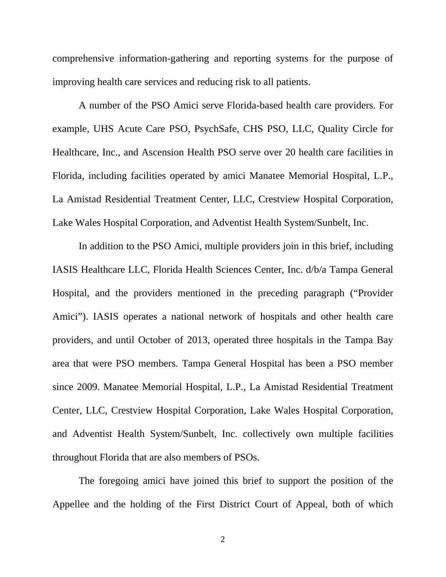comprehensive information-gathering and reporting systems for the purpose of improving health care services and reducing risk to all patients.

A number of the PSO Amici serve Florida-based health care providers. For example, UHS Acute Care PSO, PsychSafe, CHS PSO, LLC, Quality Circle for Healthcare, Inc., and Ascension Health PSO serve over 20 health care facilities in Florida, including facilities operated by amici Manatee Memorial Hospital, L.P., La Amistad Residential Treatment Center, LLC, Crestview Hospital Corporation, Lake Wales Hospital Corporation, and Adventist Health System/Sunbelt, Inc.

In addition to the PSO Amici, multiple providers join in this brief, including IASIS Healthcare LLC, Florida Health Sciences Center, Inc. d/b/a Tampa General Hospital, and the providers mentioned in the preceding paragraph ("Provider Amici"). IASIS operates a national network of hospitals and other health care providers, and until October of 2013, operated three hospitals in the Tampa Bay area that were PSO members. Tampa General Hospital has been a PSO member since 2009. Manatee Memorial Hospital, L.P., La Amistad Residential Treatment Center, LLC, Crestview Hospital Corporation, Lake Wales Hospital Corporation, and Adventist Health System/Sunbelt, Inc. collectively own multiple facilities throughout Florida that are also members of PSOs.

The foregoing amici have joined this brief to support the position of the Appellee and the holding of the First District Court of Appeal, both of which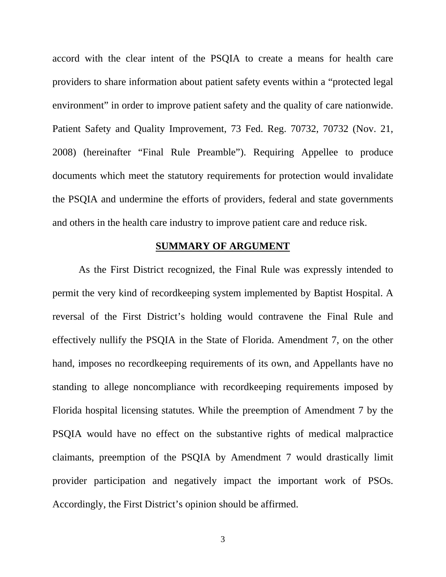accord with the clear intent of the PSQIA to create a means for health care providers to share information about patient safety events within a "protected legal environment" in order to improve patient safety and the quality of care nationwide. Patient Safety and Quality Improvement, 73 Fed. Reg. 70732, 70732 (Nov. 21, 2008) (hereinafter "Final Rule Preamble"). Requiring Appellee to produce documents which meet the statutory requirements for protection would invalidate the PSQIA and undermine the efforts of providers, federal and state governments and others in the health care industry to improve patient care and reduce risk.

#### **SUMMARY OF ARGUMENT**

 As the First District recognized, the Final Rule was expressly intended to permit the very kind of recordkeeping system implemented by Baptist Hospital. A reversal of the First District's holding would contravene the Final Rule and effectively nullify the PSQIA in the State of Florida. Amendment 7, on the other hand, imposes no recordkeeping requirements of its own, and Appellants have no standing to allege noncompliance with recordkeeping requirements imposed by Florida hospital licensing statutes. While the preemption of Amendment 7 by the PSQIA would have no effect on the substantive rights of medical malpractice claimants, preemption of the PSQIA by Amendment 7 would drastically limit provider participation and negatively impact the important work of PSOs. Accordingly, the First District's opinion should be affirmed.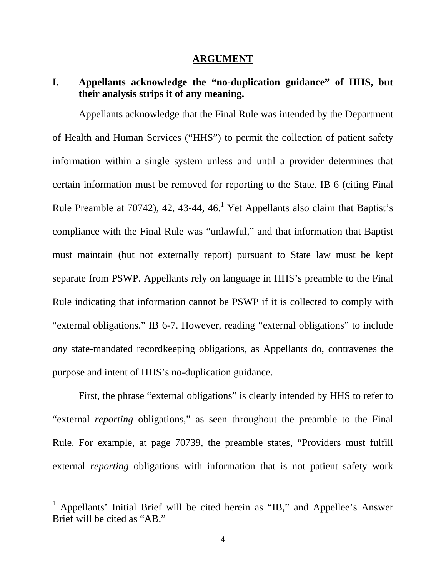#### **ARGUMENT**

# **I. Appellants acknowledge the "no-duplication guidance" of HHS, but their analysis strips it of any meaning.**

Appellants acknowledge that the Final Rule was intended by the Department of Health and Human Services ("HHS") to permit the collection of patient safety information within a single system unless and until a provider determines that certain information must be removed for reporting to the State. IB 6 (citing Final Rule Preamble at 70742), 42, 43-44, 46.<sup>1</sup> Yet Appellants also claim that Baptist's compliance with the Final Rule was "unlawful," and that information that Baptist must maintain (but not externally report) pursuant to State law must be kept separate from PSWP. Appellants rely on language in HHS's preamble to the Final Rule indicating that information cannot be PSWP if it is collected to comply with "external obligations." IB 6-7. However, reading "external obligations" to include *any* state-mandated recordkeeping obligations, as Appellants do, contravenes the purpose and intent of HHS's no-duplication guidance.

First, the phrase "external obligations" is clearly intended by HHS to refer to "external *reporting* obligations," as seen throughout the preamble to the Final Rule. For example, at page 70739, the preamble states, "Providers must fulfill external *reporting* obligations with information that is not patient safety work

<sup>1</sup> Appellants' Initial Brief will be cited herein as "IB," and Appellee's Answer Brief will be cited as "AB."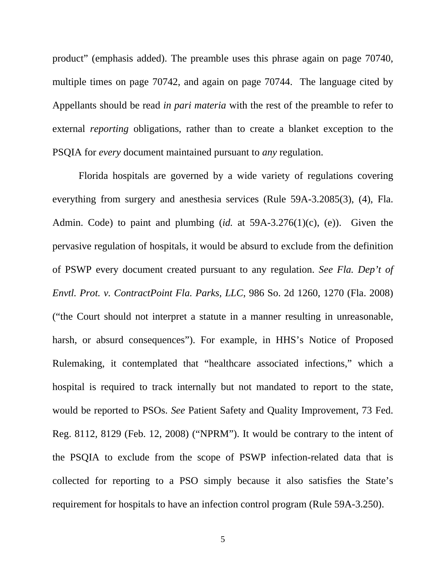product" (emphasis added). The preamble uses this phrase again on page 70740, multiple times on page 70742, and again on page 70744. The language cited by Appellants should be read *in pari materia* with the rest of the preamble to refer to external *reporting* obligations, rather than to create a blanket exception to the PSQIA for *every* document maintained pursuant to *any* regulation.

Florida hospitals are governed by a wide variety of regulations covering everything from surgery and anesthesia services (Rule 59A-3.2085(3), (4), Fla. Admin. Code) to paint and plumbing (*id.* at 59A-3.276(1)(c), (e)). Given the pervasive regulation of hospitals, it would be absurd to exclude from the definition of PSWP every document created pursuant to any regulation. *See Fla. Dep't of Envtl. Prot. v. ContractPoint Fla. Parks, LLC*, 986 So. 2d 1260, 1270 (Fla. 2008) ("the Court should not interpret a statute in a manner resulting in unreasonable, harsh, or absurd consequences"). For example, in HHS's Notice of Proposed Rulemaking, it contemplated that "healthcare associated infections," which a hospital is required to track internally but not mandated to report to the state, would be reported to PSOs. *See* Patient Safety and Quality Improvement, 73 Fed. Reg. 8112, 8129 (Feb. 12, 2008) ("NPRM"). It would be contrary to the intent of the PSQIA to exclude from the scope of PSWP infection-related data that is collected for reporting to a PSO simply because it also satisfies the State's requirement for hospitals to have an infection control program (Rule 59A-3.250).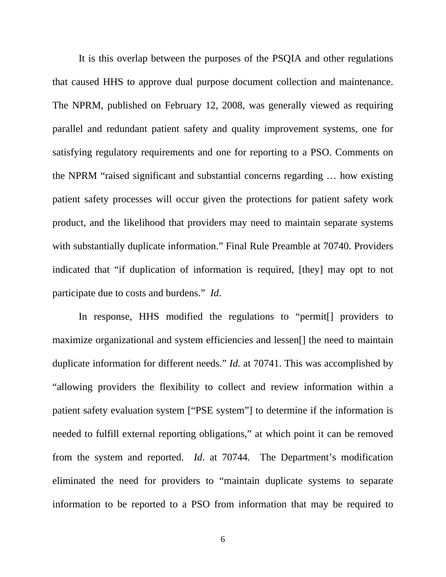It is this overlap between the purposes of the PSQIA and other regulations that caused HHS to approve dual purpose document collection and maintenance. The NPRM, published on February 12, 2008, was generally viewed as requiring parallel and redundant patient safety and quality improvement systems, one for satisfying regulatory requirements and one for reporting to a PSO. Comments on the NPRM "raised significant and substantial concerns regarding … how existing patient safety processes will occur given the protections for patient safety work product, and the likelihood that providers may need to maintain separate systems with substantially duplicate information." Final Rule Preamble at 70740. Providers indicated that "if duplication of information is required, [they] may opt to not participate due to costs and burdens." *Id*.

In response, HHS modified the regulations to "permit<sup>[]</sup> providers to maximize organizational and system efficiencies and lessen[] the need to maintain duplicate information for different needs." *Id.* at 70741. This was accomplished by "allowing providers the flexibility to collect and review information within a patient safety evaluation system ["PSE system"] to determine if the information is needed to fulfill external reporting obligations," at which point it can be removed from the system and reported. *Id*. at 70744. The Department's modification eliminated the need for providers to "maintain duplicate systems to separate information to be reported to a PSO from information that may be required to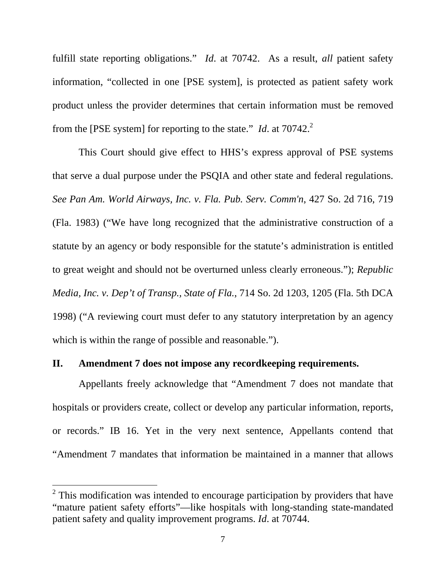fulfill state reporting obligations." *Id*. at 70742. As a result, *all* patient safety information, "collected in one [PSE system], is protected as patient safety work product unless the provider determines that certain information must be removed from the [PSE system] for reporting to the state." *Id*. at  $70742$ <sup>2</sup>

This Court should give effect to HHS's express approval of PSE systems that serve a dual purpose under the PSQIA and other state and federal regulations. *See Pan Am. World Airways, Inc. v. Fla. Pub. Serv. Comm'n*, 427 So. 2d 716, 719 (Fla. 1983) ("We have long recognized that the administrative construction of a statute by an agency or body responsible for the statute's administration is entitled to great weight and should not be overturned unless clearly erroneous."); *Republic Media, Inc. v. Dep't of Transp., State of Fla.*, 714 So. 2d 1203, 1205 (Fla. 5th DCA 1998) ("A reviewing court must defer to any statutory interpretation by an agency which is within the range of possible and reasonable.").

## **II. Amendment 7 does not impose any recordkeeping requirements.**

Appellants freely acknowledge that "Amendment 7 does not mandate that hospitals or providers create, collect or develop any particular information, reports, or records." IB 16. Yet in the very next sentence, Appellants contend that "Amendment 7 mandates that information be maintained in a manner that allows

 $2$  This modification was intended to encourage participation by providers that have "mature patient safety efforts"—like hospitals with long-standing state-mandated patient safety and quality improvement programs. *Id*. at 70744.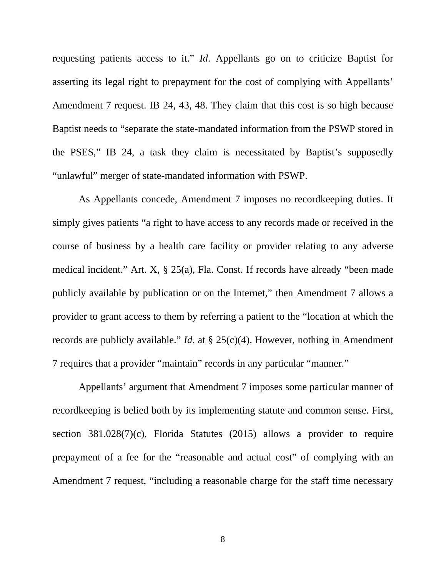requesting patients access to it." *Id*. Appellants go on to criticize Baptist for asserting its legal right to prepayment for the cost of complying with Appellants' Amendment 7 request. IB 24, 43, 48. They claim that this cost is so high because Baptist needs to "separate the state-mandated information from the PSWP stored in the PSES," IB 24, a task they claim is necessitated by Baptist's supposedly "unlawful" merger of state-mandated information with PSWP.

As Appellants concede, Amendment 7 imposes no recordkeeping duties. It simply gives patients "a right to have access to any records made or received in the course of business by a health care facility or provider relating to any adverse medical incident." Art. X, § 25(a), Fla. Const. If records have already "been made publicly available by publication or on the Internet," then Amendment 7 allows a provider to grant access to them by referring a patient to the "location at which the records are publicly available." *Id*. at § 25(c)(4). However, nothing in Amendment 7 requires that a provider "maintain" records in any particular "manner."

Appellants' argument that Amendment 7 imposes some particular manner of recordkeeping is belied both by its implementing statute and common sense. First, section  $381.028(7)(c)$ , Florida Statutes (2015) allows a provider to require prepayment of a fee for the "reasonable and actual cost" of complying with an Amendment 7 request, "including a reasonable charge for the staff time necessary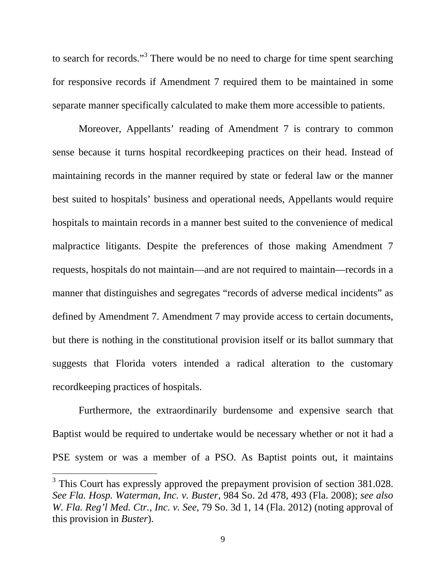to search for records."<sup>3</sup> There would be no need to charge for time spent searching for responsive records if Amendment 7 required them to be maintained in some separate manner specifically calculated to make them more accessible to patients.

Moreover, Appellants' reading of Amendment 7 is contrary to common sense because it turns hospital recordkeeping practices on their head. Instead of maintaining records in the manner required by state or federal law or the manner best suited to hospitals' business and operational needs, Appellants would require hospitals to maintain records in a manner best suited to the convenience of medical malpractice litigants. Despite the preferences of those making Amendment 7 requests, hospitals do not maintain—and are not required to maintain—records in a manner that distinguishes and segregates "records of adverse medical incidents" as defined by Amendment 7. Amendment 7 may provide access to certain documents, but there is nothing in the constitutional provision itself or its ballot summary that suggests that Florida voters intended a radical alteration to the customary recordkeeping practices of hospitals.

Furthermore, the extraordinarily burdensome and expensive search that Baptist would be required to undertake would be necessary whether or not it had a PSE system or was a member of a PSO. As Baptist points out, it maintains

 $3$  This Court has expressly approved the prepayment provision of section 381.028. *See Fla. Hosp. Waterman, Inc. v. Buster*, 984 So. 2d 478, 493 (Fla. 2008); *see also W. Fla. Reg'l Med. Ctr., Inc. v. See*, 79 So. 3d 1, 14 (Fla. 2012) (noting approval of this provision in *Buster*).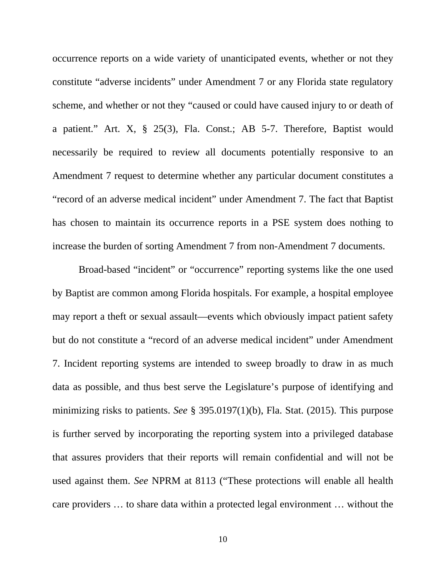occurrence reports on a wide variety of unanticipated events, whether or not they constitute "adverse incidents" under Amendment 7 or any Florida state regulatory scheme, and whether or not they "caused or could have caused injury to or death of a patient." Art. X, § 25(3), Fla. Const.; AB 5-7. Therefore, Baptist would necessarily be required to review all documents potentially responsive to an Amendment 7 request to determine whether any particular document constitutes a "record of an adverse medical incident" under Amendment 7. The fact that Baptist has chosen to maintain its occurrence reports in a PSE system does nothing to increase the burden of sorting Amendment 7 from non-Amendment 7 documents.

Broad-based "incident" or "occurrence" reporting systems like the one used by Baptist are common among Florida hospitals. For example, a hospital employee may report a theft or sexual assault—events which obviously impact patient safety but do not constitute a "record of an adverse medical incident" under Amendment 7. Incident reporting systems are intended to sweep broadly to draw in as much data as possible, and thus best serve the Legislature's purpose of identifying and minimizing risks to patients. *See* § 395.0197(1)(b), Fla. Stat. (2015). This purpose is further served by incorporating the reporting system into a privileged database that assures providers that their reports will remain confidential and will not be used against them. *See* NPRM at 8113 ("These protections will enable all health care providers … to share data within a protected legal environment … without the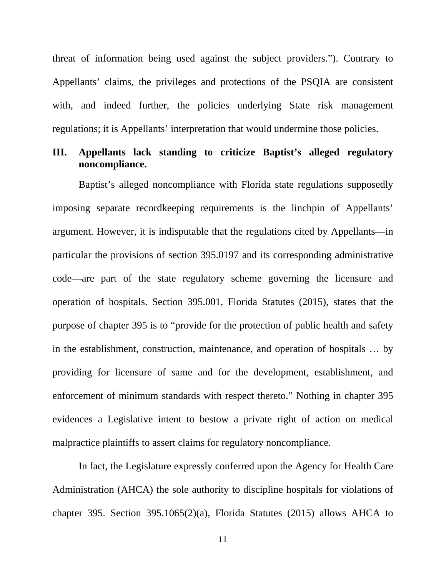threat of information being used against the subject providers."). Contrary to Appellants' claims, the privileges and protections of the PSQIA are consistent with, and indeed further, the policies underlying State risk management regulations; it is Appellants' interpretation that would undermine those policies.

### **III. Appellants lack standing to criticize Baptist's alleged regulatory noncompliance.**

Baptist's alleged noncompliance with Florida state regulations supposedly imposing separate recordkeeping requirements is the linchpin of Appellants' argument. However, it is indisputable that the regulations cited by Appellants—in particular the provisions of section 395.0197 and its corresponding administrative code—are part of the state regulatory scheme governing the licensure and operation of hospitals. Section 395.001, Florida Statutes (2015), states that the purpose of chapter 395 is to "provide for the protection of public health and safety in the establishment, construction, maintenance, and operation of hospitals … by providing for licensure of same and for the development, establishment, and enforcement of minimum standards with respect thereto." Nothing in chapter 395 evidences a Legislative intent to bestow a private right of action on medical malpractice plaintiffs to assert claims for regulatory noncompliance.

In fact, the Legislature expressly conferred upon the Agency for Health Care Administration (AHCA) the sole authority to discipline hospitals for violations of chapter 395. Section 395.1065(2)(a), Florida Statutes (2015) allows AHCA to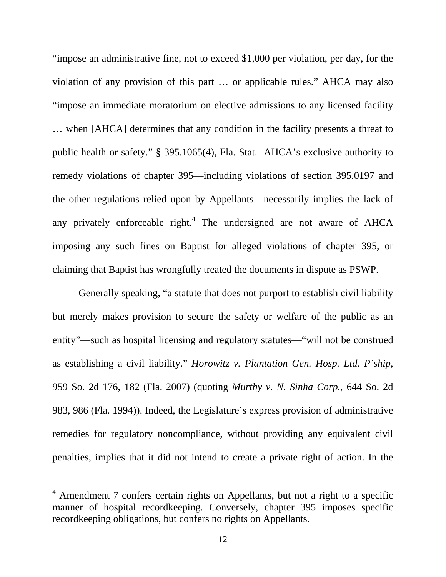"impose an administrative fine, not to exceed \$1,000 per violation, per day, for the violation of any provision of this part … or applicable rules." AHCA may also "impose an immediate moratorium on elective admissions to any licensed facility … when [AHCA] determines that any condition in the facility presents a threat to public health or safety." § 395.1065(4), Fla. Stat. AHCA's exclusive authority to remedy violations of chapter 395—including violations of section 395.0197 and the other regulations relied upon by Appellants—necessarily implies the lack of any privately enforceable right.<sup>4</sup> The undersigned are not aware of AHCA imposing any such fines on Baptist for alleged violations of chapter 395, or claiming that Baptist has wrongfully treated the documents in dispute as PSWP.

Generally speaking, "a statute that does not purport to establish civil liability but merely makes provision to secure the safety or welfare of the public as an entity"—such as hospital licensing and regulatory statutes—"will not be construed as establishing a civil liability." *Horowitz v. Plantation Gen. Hosp. Ltd. P'ship*, 959 So. 2d 176, 182 (Fla. 2007) (quoting *Murthy v. N. Sinha Corp.*, 644 So. 2d 983, 986 (Fla. 1994)). Indeed, the Legislature's express provision of administrative remedies for regulatory noncompliance, without providing any equivalent civil penalties, implies that it did not intend to create a private right of action. In the

 $4$  Amendment 7 confers certain rights on Appellants, but not a right to a specific manner of hospital recordkeeping. Conversely, chapter 395 imposes specific recordkeeping obligations, but confers no rights on Appellants.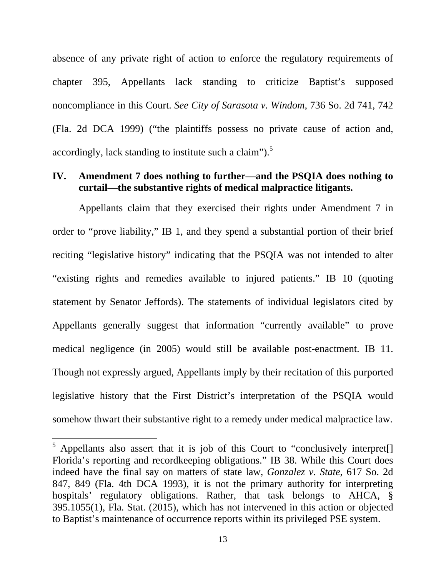absence of any private right of action to enforce the regulatory requirements of chapter 395, Appellants lack standing to criticize Baptist's supposed noncompliance in this Court. *See City of Sarasota v. Windom*, 736 So. 2d 741, 742 (Fla. 2d DCA 1999) ("the plaintiffs possess no private cause of action and, accordingly, lack standing to institute such a claim").<sup>5</sup>

#### **IV. Amendment 7 does nothing to further—and the PSQIA does nothing to curtail—the substantive rights of medical malpractice litigants.**

Appellants claim that they exercised their rights under Amendment 7 in order to "prove liability," IB 1, and they spend a substantial portion of their brief reciting "legislative history" indicating that the PSQIA was not intended to alter "existing rights and remedies available to injured patients." IB 10 (quoting statement by Senator Jeffords). The statements of individual legislators cited by Appellants generally suggest that information "currently available" to prove medical negligence (in 2005) would still be available post-enactment. IB 11. Though not expressly argued, Appellants imply by their recitation of this purported legislative history that the First District's interpretation of the PSQIA would somehow thwart their substantive right to a remedy under medical malpractice law.

 $<sup>5</sup>$  Appellants also assert that it is job of this Court to "conclusively interpret[]</sup> Florida's reporting and recordkeeping obligations." IB 38. While this Court does indeed have the final say on matters of state law, *Gonzalez v. State*, 617 So. 2d 847, 849 (Fla. 4th DCA 1993), it is not the primary authority for interpreting hospitals' regulatory obligations. Rather, that task belongs to AHCA, § 395.1055(1), Fla. Stat. (2015), which has not intervened in this action or objected to Baptist's maintenance of occurrence reports within its privileged PSE system.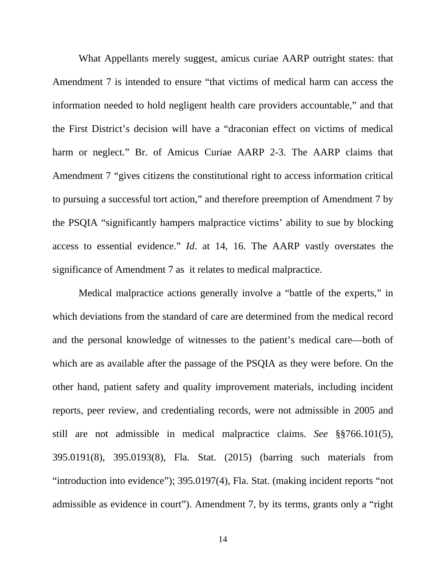What Appellants merely suggest, amicus curiae AARP outright states: that Amendment 7 is intended to ensure "that victims of medical harm can access the information needed to hold negligent health care providers accountable," and that the First District's decision will have a "draconian effect on victims of medical harm or neglect." Br. of Amicus Curiae AARP 2-3. The AARP claims that Amendment 7 "gives citizens the constitutional right to access information critical to pursuing a successful tort action," and therefore preemption of Amendment 7 by the PSQIA "significantly hampers malpractice victims' ability to sue by blocking access to essential evidence." *Id*. at 14, 16. The AARP vastly overstates the significance of Amendment 7 as it relates to medical malpractice.

Medical malpractice actions generally involve a "battle of the experts," in which deviations from the standard of care are determined from the medical record and the personal knowledge of witnesses to the patient's medical care—both of which are as available after the passage of the PSQIA as they were before. On the other hand, patient safety and quality improvement materials, including incident reports, peer review, and credentialing records, were not admissible in 2005 and still are not admissible in medical malpractice claims. *See* §§766.101(5), 395.0191(8), 395.0193(8), Fla. Stat. (2015) (barring such materials from "introduction into evidence"); 395.0197(4), Fla. Stat. (making incident reports "not admissible as evidence in court"). Amendment 7, by its terms, grants only a "right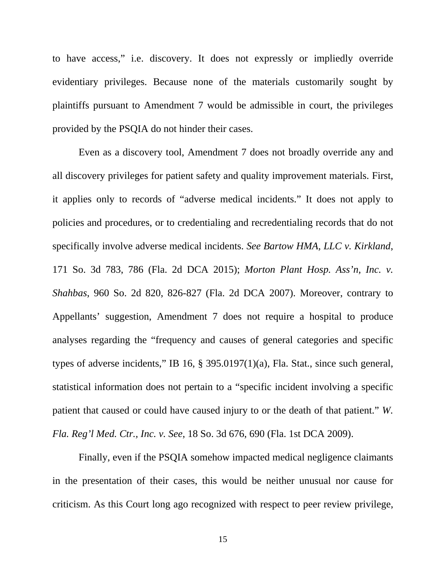to have access," i.e. discovery. It does not expressly or impliedly override evidentiary privileges. Because none of the materials customarily sought by plaintiffs pursuant to Amendment 7 would be admissible in court, the privileges provided by the PSQIA do not hinder their cases.

Even as a discovery tool, Amendment 7 does not broadly override any and all discovery privileges for patient safety and quality improvement materials. First, it applies only to records of "adverse medical incidents." It does not apply to policies and procedures, or to credentialing and recredentialing records that do not specifically involve adverse medical incidents. *See Bartow HMA, LLC v. Kirkland*, 171 So. 3d 783, 786 (Fla. 2d DCA 2015); *Morton Plant Hosp. Ass'n, Inc. v. Shahbas*, 960 So. 2d 820, 826-827 (Fla. 2d DCA 2007). Moreover, contrary to Appellants' suggestion, Amendment 7 does not require a hospital to produce analyses regarding the "frequency and causes of general categories and specific types of adverse incidents," IB 16, § 395.0197(1)(a), Fla. Stat., since such general, statistical information does not pertain to a "specific incident involving a specific patient that caused or could have caused injury to or the death of that patient." *W. Fla. Reg'l Med. Ctr., Inc. v. See*, 18 So. 3d 676, 690 (Fla. 1st DCA 2009).

Finally, even if the PSQIA somehow impacted medical negligence claimants in the presentation of their cases, this would be neither unusual nor cause for criticism. As this Court long ago recognized with respect to peer review privilege,

15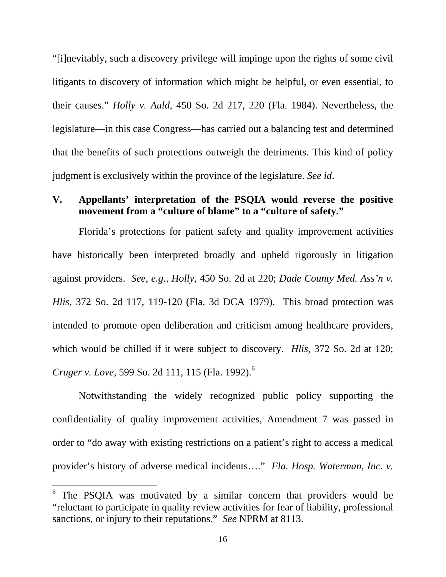"[i]nevitably, such a discovery privilege will impinge upon the rights of some civil litigants to discovery of information which might be helpful, or even essential, to their causes." *Holly v. Auld*, 450 So. 2d 217, 220 (Fla. 1984). Nevertheless, the legislature—in this case Congress—has carried out a balancing test and determined that the benefits of such protections outweigh the detriments. This kind of policy judgment is exclusively within the province of the legislature. *See id*.

### **V. Appellants' interpretation of the PSQIA would reverse the positive movement from a "culture of blame" to a "culture of safety."**

Florida's protections for patient safety and quality improvement activities have historically been interpreted broadly and upheld rigorously in litigation against providers. *See, e.g., Holly*, 450 So. 2d at 220; *Dade County Med. Ass'n v. Hlis*, 372 So. 2d 117, 119-120 (Fla. 3d DCA 1979). This broad protection was intended to promote open deliberation and criticism among healthcare providers, which would be chilled if it were subject to discovery. *Hlis*, 372 So. 2d at 120; *Cruger v. Love*, 599 So. 2d 111, 115 (Fla. 1992).<sup>6</sup>

Notwithstanding the widely recognized public policy supporting the confidentiality of quality improvement activities, Amendment 7 was passed in order to "do away with existing restrictions on a patient's right to access a medical provider's history of adverse medical incidents…." *Fla. Hosp. Waterman, Inc. v.* 

<sup>&</sup>lt;sup>6</sup> The PSQIA was motivated by a similar concern that providers would be "reluctant to participate in quality review activities for fear of liability, professional sanctions, or injury to their reputations." *See* NPRM at 8113.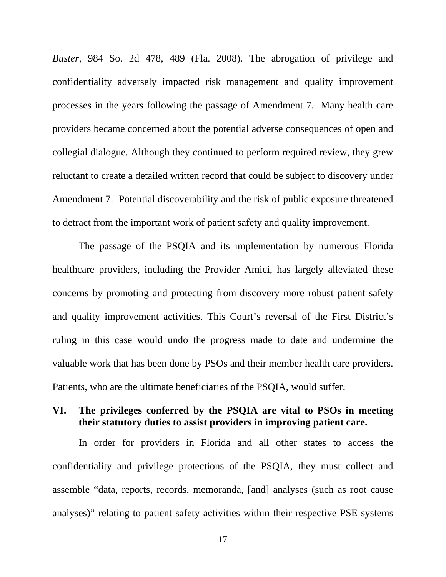*Buster*, 984 So. 2d 478, 489 (Fla. 2008). The abrogation of privilege and confidentiality adversely impacted risk management and quality improvement processes in the years following the passage of Amendment 7. Many health care providers became concerned about the potential adverse consequences of open and collegial dialogue. Although they continued to perform required review, they grew reluctant to create a detailed written record that could be subject to discovery under Amendment 7. Potential discoverability and the risk of public exposure threatened to detract from the important work of patient safety and quality improvement.

The passage of the PSQIA and its implementation by numerous Florida healthcare providers, including the Provider Amici, has largely alleviated these concerns by promoting and protecting from discovery more robust patient safety and quality improvement activities. This Court's reversal of the First District's ruling in this case would undo the progress made to date and undermine the valuable work that has been done by PSOs and their member health care providers. Patients, who are the ultimate beneficiaries of the PSQIA, would suffer.

### **VI. The privileges conferred by the PSQIA are vital to PSOs in meeting their statutory duties to assist providers in improving patient care.**

In order for providers in Florida and all other states to access the confidentiality and privilege protections of the PSQIA, they must collect and assemble "data, reports, records, memoranda, [and] analyses (such as root cause analyses)" relating to patient safety activities within their respective PSE systems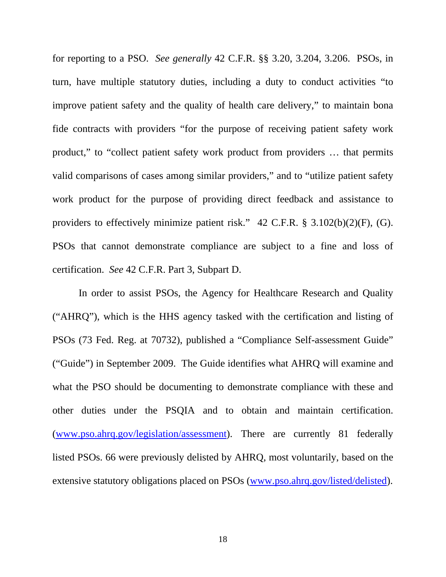for reporting to a PSO. *See generally* 42 C.F.R. §§ 3.20, 3.204, 3.206. PSOs, in turn, have multiple statutory duties, including a duty to conduct activities "to improve patient safety and the quality of health care delivery," to maintain bona fide contracts with providers "for the purpose of receiving patient safety work product," to "collect patient safety work product from providers … that permits valid comparisons of cases among similar providers," and to "utilize patient safety work product for the purpose of providing direct feedback and assistance to providers to effectively minimize patient risk." 42 C.F.R. § 3.102(b)(2)(F), (G). PSOs that cannot demonstrate compliance are subject to a fine and loss of certification. *See* 42 C.F.R. Part 3, Subpart D.

In order to assist PSOs, the Agency for Healthcare Research and Quality ("AHRQ"), which is the HHS agency tasked with the certification and listing of PSOs (73 Fed. Reg. at 70732), published a "Compliance Self-assessment Guide" ("Guide") in September 2009. The Guide identifies what AHRQ will examine and what the PSO should be documenting to demonstrate compliance with these and other duties under the PSQIA and to obtain and maintain certification. (www.pso.ahrq.gov/legislation/assessment). There are currently 81 federally listed PSOs. 66 were previously delisted by AHRQ, most voluntarily, based on the extensive statutory obligations placed on PSOs (www.pso.ahrq.gov/listed/delisted).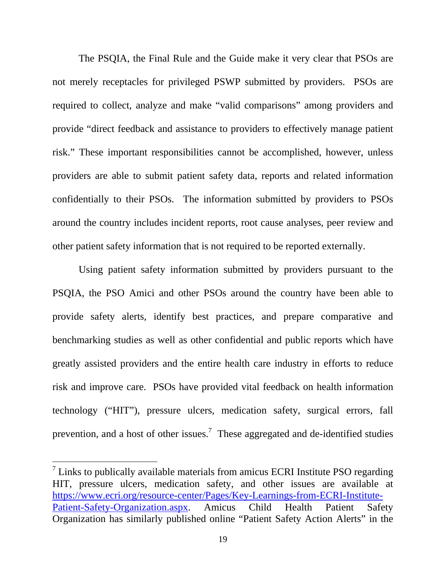The PSQIA, the Final Rule and the Guide make it very clear that PSOs are not merely receptacles for privileged PSWP submitted by providers. PSOs are required to collect, analyze and make "valid comparisons" among providers and provide "direct feedback and assistance to providers to effectively manage patient risk." These important responsibilities cannot be accomplished, however, unless providers are able to submit patient safety data, reports and related information confidentially to their PSOs. The information submitted by providers to PSOs around the country includes incident reports, root cause analyses, peer review and other patient safety information that is not required to be reported externally.

Using patient safety information submitted by providers pursuant to the PSQIA, the PSO Amici and other PSOs around the country have been able to provide safety alerts, identify best practices, and prepare comparative and benchmarking studies as well as other confidential and public reports which have greatly assisted providers and the entire health care industry in efforts to reduce risk and improve care. PSOs have provided vital feedback on health information technology ("HIT"), pressure ulcers, medication safety, surgical errors, fall prevention, and a host of other issues.<sup>7</sup> These aggregated and de-identified studies

 $\frac{7}{1}$  Links to publically available materials from amicus ECRI Institute PSO regarding HIT, pressure ulcers, medication safety, and other issues are available at https://www.ecri.org/resource-center/Pages/Key-Learnings-from-ECRI-Institute-Patient-Safety-Organization.aspx. Amicus Child Health Patient Safety Organization has similarly published online "Patient Safety Action Alerts" in the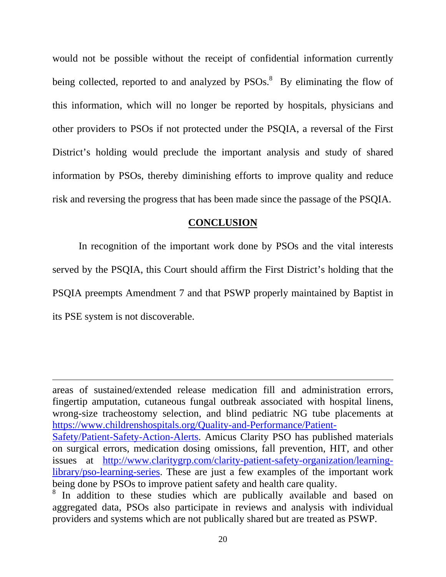would not be possible without the receipt of confidential information currently being collected, reported to and analyzed by  $PSOs.<sup>8</sup>$  By eliminating the flow of this information, which will no longer be reported by hospitals, physicians and other providers to PSOs if not protected under the PSQIA, a reversal of the First District's holding would preclude the important analysis and study of shared information by PSOs, thereby diminishing efforts to improve quality and reduce risk and reversing the progress that has been made since the passage of the PSQIA.

#### **CONCLUSION**

 In recognition of the important work done by PSOs and the vital interests served by the PSQIA, this Court should affirm the First District's holding that the PSQIA preempts Amendment 7 and that PSWP properly maintained by Baptist in its PSE system is not discoverable.

areas of sustained/extended release medication fill and administration errors, fingertip amputation, cutaneous fungal outbreak associated with hospital linens, wrong-size tracheostomy selection, and blind pediatric NG tube placements at https://www.childrenshospitals.org/Quality-and-Performance/Patient-Safety/Patient-Safety-Action-Alerts. Amicus Clarity PSO has published materials on surgical errors, medication dosing omissions, fall prevention, HIT, and other issues at http://www.claritygrp.com/clarity-patient-safety-organization/learninglibrary/pso-learning-series. These are just a few examples of the important work being done by PSOs to improve patient safety and health care quality.

<sup>&</sup>lt;sup>8</sup> In addition to these studies which are publically available and based on aggregated data, PSOs also participate in reviews and analysis with individual providers and systems which are not publically shared but are treated as PSWP.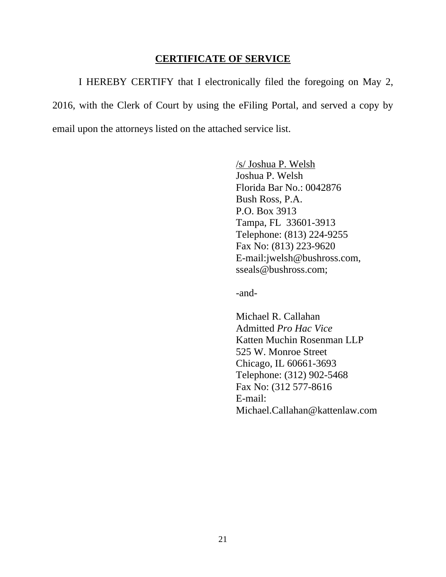#### **CERTIFICATE OF SERVICE**

 I HEREBY CERTIFY that I electronically filed the foregoing on May 2, 2016, with the Clerk of Court by using the eFiling Portal, and served a copy by email upon the attorneys listed on the attached service list.

> /s/ Joshua P. Welsh Joshua P. Welsh Florida Bar No.: 0042876 Bush Ross, P.A. P.O. Box 3913 Tampa, FL 33601-3913 Telephone: (813) 224-9255 Fax No: (813) 223-9620 E-mail:jwelsh@bushross.com, sseals@bushross.com;

-and-

Michael R. Callahan Admitted *Pro Hac Vice* Katten Muchin Rosenman LLP 525 W. Monroe Street Chicago, IL 60661-3693 Telephone: (312) 902-5468 Fax No: (312 577-8616 E-mail: Michael.Callahan@kattenlaw.com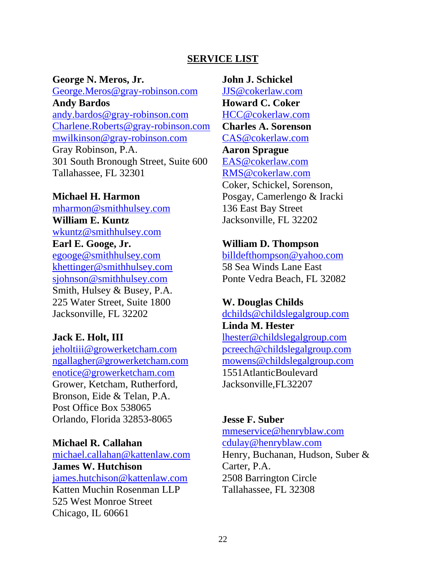#### **SERVICE LIST**

**George N. Meros, Jr.**  George.Meros@gray-robinson.com **Andy Bardos**  andy.bardos@gray-robinson.com Charlene.Roberts@gray-robinson.com mwilkinson@gray-robinson.com Gray Robinson, P.A. 301 South Bronough Street, Suite 600 Tallahassee, FL 32301

#### **Michael H. Harmon**

mharmon@smithhulsey.com **William E. Kuntz**  wkuntz@smithhulsey.com **Earl E. Googe, Jr.**  egooge@smithhulsey.com khettinger@smithhulsey.com sjohnson@smithhulsey.com Smith, Hulsey & Busey, P.A. 225 Water Street, Suite 1800 Jacksonville, FL 32202

**Jack E. Holt, III** 

jeholtiii@growerketcham.com ngallagher@growerketcham.com enotice@growerketcham.com Grower, Ketcham, Rutherford, Bronson, Eide & Telan, P.A. Post Office Box 538065 Orlando, Florida 32853-8065

#### **Michael R. Callahan**

michael.callahan@kattenlaw.com **James W. Hutchison** james.hutchison@kattenlaw.com Katten Muchin Rosenman LLP 525 West Monroe Street Chicago, IL 60661

**John J. Schickel**  JJS@cokerlaw.com **Howard C. Coker**  HCC@cokerlaw.com **Charles A. Sorenson**  CAS@cokerlaw.com **Aaron Sprague**  EAS@cokerlaw.com RMS@cokerlaw.com Coker, Schickel, Sorenson, Posgay, Camerlengo & Iracki 136 East Bay Street Jacksonville, FL 32202

#### **William D. Thompson**

billdefthompson@yahoo.com 58 Sea Winds Lane East Ponte Vedra Beach, FL 32082

#### **W. Douglas Childs**

dchilds@childslegalgroup.com

**Linda M. Hester** lhester@childslegalgroup.com pcreech@childslegalgroup.com mowens@childslegalgroup.com 1551AtlanticBoulevard Jacksonville,FL32207

#### **Jesse F. Suber**

mmeservice@henryblaw.com cdulay@henryblaw.com Henry, Buchanan, Hudson, Suber & Carter, P.A. 2508 Barrington Circle Tallahassee, FL 32308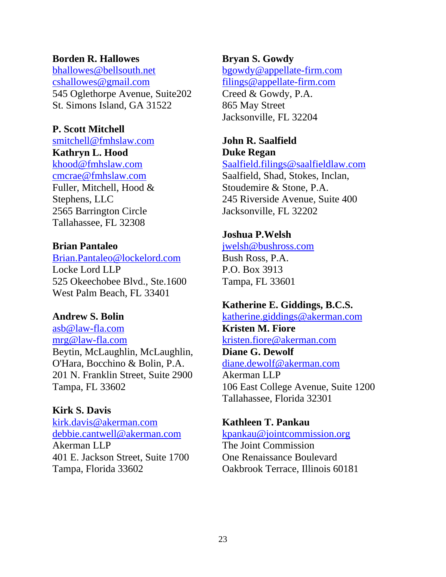### **Borden R. Hallowes**

bhallowes@bellsouth.net cshallowes@gmail.com 545 Oglethorpe Avenue, Suite202 St. Simons Island, GA 31522

### **P. Scott Mitchell**

smitchell@fmhslaw.com

# **Kathryn L. Hood**

khood@fmhslaw.com cmcrae@fmhslaw.com Fuller, Mitchell, Hood & Stephens, LLC 2565 Barrington Circle Tallahassee, FL 32308

### **Brian Pantaleo**

Brian.Pantaleo@lockelord.com Locke Lord LLP 525 Okeechobee Blvd., Ste.1600 West Palm Beach, FL 33401

### **Andrew S. Bolin**

asb@law-fla.com mrg@law-fla.com Beytin, McLaughlin, McLaughlin, O'Hara, Bocchino & Bolin, P.A. 201 N. Franklin Street, Suite 2900 Tampa, FL 33602

### **Kirk S. Davis**

kirk.davis@akerman.com debbie.cantwell@akerman.com Akerman LLP 401 E. Jackson Street, Suite 1700 Tampa, Florida 33602

# **Bryan S. Gowdy**

bgowdy@appellate-firm.com filings@appellate-firm.com Creed & Gowdy, P.A. 865 May Street Jacksonville, FL 32204

#### **John R. Saalfield Duke Regan**

Saalfield.filings@saalfieldlaw.com Saalfield, Shad, Stokes, Inclan, Stoudemire & Stone, P.A. 245 Riverside Avenue, Suite 400 Jacksonville, FL 32202

# **Joshua P.Welsh**

# jwelsh@bushross.com

Bush Ross, P.A. P.O. Box 3913 Tampa, FL 33601

# **Katherine E. Giddings, B.C.S.**

katherine.giddings@akerman.com **Kristen M. Fiore**

kristen.fiore@akerman.com **Diane G. Dewolf** diane.dewolf@akerman.com

Akerman LLP 106 East College Avenue, Suite 1200 Tallahassee, Florida 32301

### **Kathleen T. Pankau**

#### kpankau@jointcommission.org

The Joint Commission One Renaissance Boulevard Oakbrook Terrace, Illinois 60181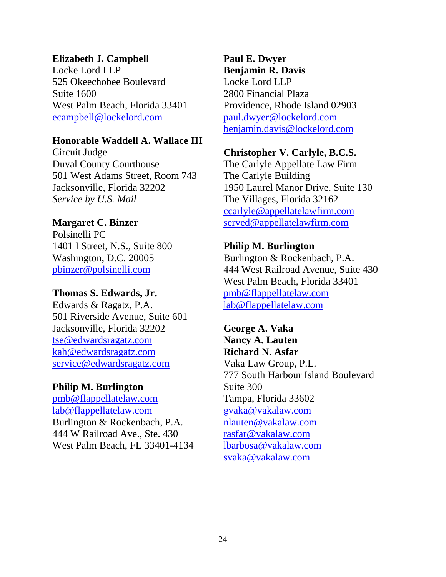### **Elizabeth J. Campbell**

Locke Lord LLP 525 Okeechobee Boulevard Suite 1600 West Palm Beach, Florida 33401 ecampbell@lockelord.com

#### **Honorable Waddell A. Wallace III**

Circuit Judge Duval County Courthouse 501 West Adams Street, Room 743 Jacksonville, Florida 32202 *Service by U.S. Mail*

#### **Margaret C. Binzer**

Polsinelli PC 1401 I Street, N.S., Suite 800 Washington, D.C. 20005 pbinzer@polsinelli.com

#### **Thomas S. Edwards, Jr.**

Edwards & Ragatz, P.A. 501 Riverside Avenue, Suite 601 Jacksonville, Florida 32202 tse@edwardsragatz.com kah@edwardsragatz.com service@edwardsragatz.com

#### **Philip M. Burlington**

pmb@flappellatelaw.com lab@flappellatelaw.com Burlington & Rockenbach, P.A. 444 W Railroad Ave., Ste. 430 West Palm Beach, FL 33401-4134

# **Paul E. Dwyer Benjamin R. Davis**  Locke Lord LLP 2800 Financial Plaza Providence, Rhode Island 02903 paul.dwyer@lockelord.com benjamin.davis@lockelord.com

#### **Christopher V. Carlyle, B.C.S.**

The Carlyle Appellate Law Firm The Carlyle Building 1950 Laurel Manor Drive, Suite 130 The Villages, Florida 32162 ccarlyle@appellatelawfirm.com served@appellatelawfirm.com

### **Philip M. Burlington**

Burlington & Rockenbach, P.A. 444 West Railroad Avenue, Suite 430 West Palm Beach, Florida 33401 pmb@flappellatelaw.com lab@flappellatelaw.com

**George A. Vaka Nancy A. Lauten Richard N. Asfar**  Vaka Law Group, P.L. 777 South Harbour Island Boulevard Suite 300 Tampa, Florida 33602 gvaka@vakalaw.com nlauten@vakalaw.com rasfar@vakalaw.com lbarbosa@vakalaw.com svaka@vakalaw.com